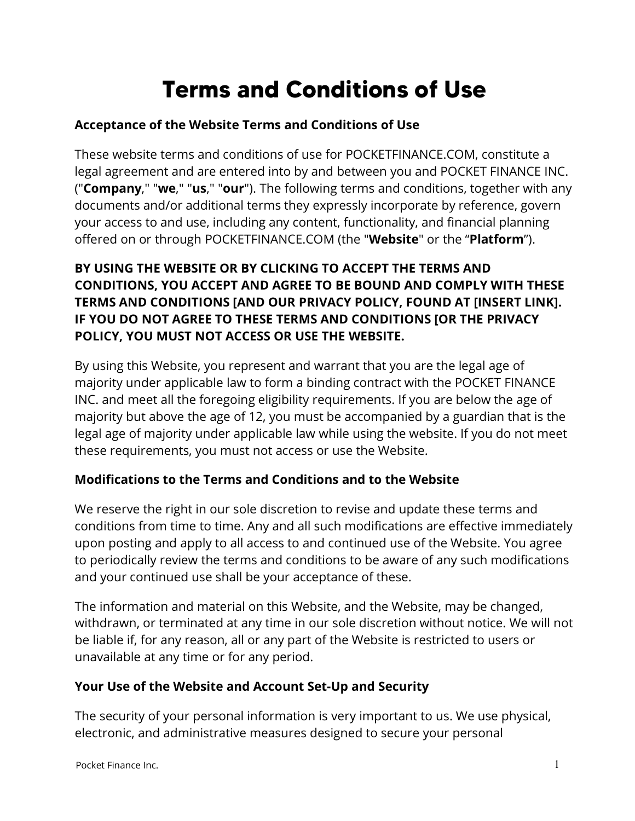# **Terms and Conditions of Use**

# **Acceptance of the Website Terms and Conditions of Use**

These website terms and conditions of use for POCKETFINANCE.COM, constitute a legal agreement and are entered into by and between you and POCKET FINANCE INC. ("**Company**," "**we**," "**us**," "**our**"). The following terms and conditions, together with any documents and/or additional terms they expressly incorporate by reference, govern your access to and use, including any content, functionality, and financial planning offered on or through POCKETFINANCE.COM (the "**Website**" or the "**Platform**").

# **BY USING THE WEBSITE OR BY CLICKING TO ACCEPT THE TERMS AND CONDITIONS, YOU ACCEPT AND AGREE TO BE BOUND AND COMPLY WITH THESE TERMS AND CONDITIONS [AND OUR PRIVACY POLICY, FOUND AT [INSERT LINK]. IF YOU DO NOT AGREE TO THESE TERMS AND CONDITIONS [OR THE PRIVACY POLICY, YOU MUST NOT ACCESS OR USE THE WEBSITE.**

By using this Website, you represent and warrant that you are the legal age of majority under applicable law to form a binding contract with the POCKET FINANCE INC. and meet all the foregoing eligibility requirements. If you are below the age of majority but above the age of 12, you must be accompanied by a guardian that is the legal age of majority under applicable law while using the website. If you do not meet these requirements, you must not access or use the Website.

# **Modifications to the Terms and Conditions and to the Website**

We reserve the right in our sole discretion to revise and update these terms and conditions from time to time. Any and all such modifications are effective immediately upon posting and apply to all access to and continued use of the Website. You agree to periodically review the terms and conditions to be aware of any such modifications and your continued use shall be your acceptance of these.

The information and material on this Website, and the Website, may be changed, withdrawn, or terminated at any time in our sole discretion without notice. We will not be liable if, for any reason, all or any part of the Website is restricted to users or unavailable at any time or for any period.

# **Your Use of the Website and Account Set-Up and Security**

The security of your personal information is very important to us. We use physical, electronic, and administrative measures designed to secure your personal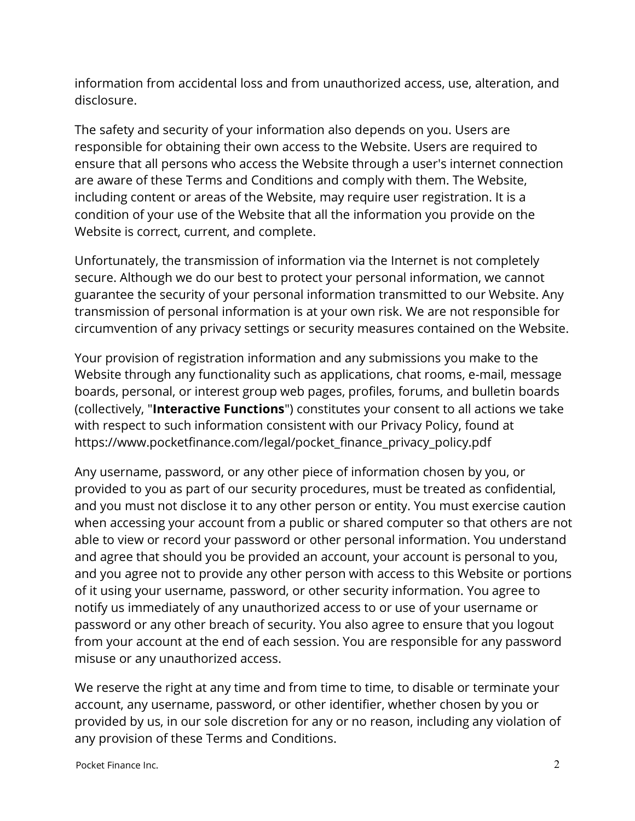information from accidental loss and from unauthorized access, use, alteration, and disclosure.

The safety and security of your information also depends on you. Users are responsible for obtaining their own access to the Website. Users are required to ensure that all persons who access the Website through a user's internet connection are aware of these Terms and Conditions and comply with them. The Website, including content or areas of the Website, may require user registration. It is a condition of your use of the Website that all the information you provide on the Website is correct, current, and complete.

Unfortunately, the transmission of information via the Internet is not completely secure. Although we do our best to protect your personal information, we cannot guarantee the security of your personal information transmitted to our Website. Any transmission of personal information is at your own risk. We are not responsible for circumvention of any privacy settings or security measures contained on the Website.

Your provision of registration information and any submissions you make to the Website through any functionality such as applications, chat rooms, e-mail, message boards, personal, or interest group web pages, profiles, forums, and bulletin boards (collectively, "**Interactive Functions**") constitutes your consent to all actions we take with respect to such information consistent with our Privacy Policy, found at https://www.pocketfinance.com/legal/pocket\_finance\_privacy\_policy.pdf

Any username, password, or any other piece of information chosen by you, or provided to you as part of our security procedures, must be treated as confidential, and you must not disclose it to any other person or entity. You must exercise caution when accessing your account from a public or shared computer so that others are not able to view or record your password or other personal information. You understand and agree that should you be provided an account, your account is personal to you, and you agree not to provide any other person with access to this Website or portions of it using your username, password, or other security information. You agree to notify us immediately of any unauthorized access to or use of your username or password or any other breach of security. You also agree to ensure that you logout from your account at the end of each session. You are responsible for any password misuse or any unauthorized access.

We reserve the right at any time and from time to time, to disable or terminate your account, any username, password, or other identifier, whether chosen by you or provided by us, in our sole discretion for any or no reason, including any violation of any provision of these Terms and Conditions.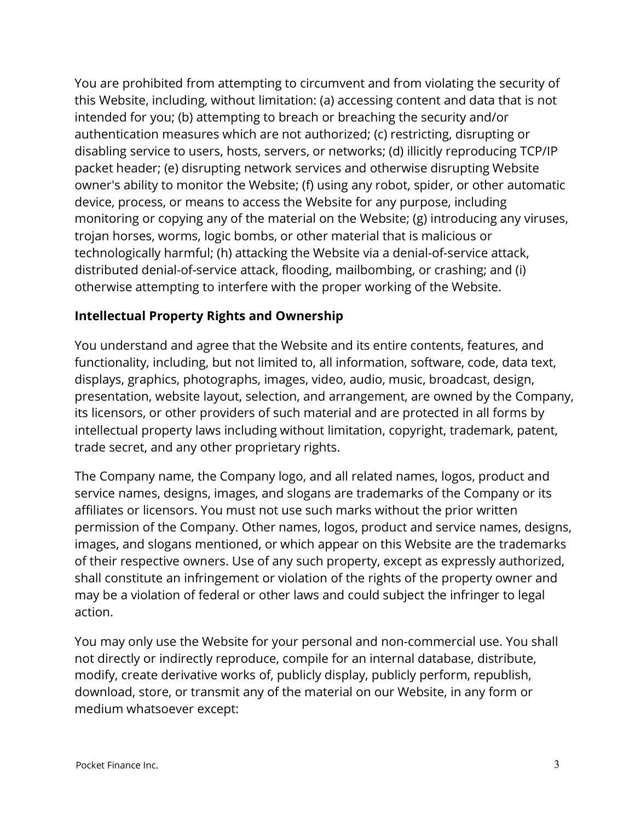You are prohibited from attempting to circumvent and from violating the security of this Website, including, without limitation: (a) accessing content and data that is not intended for you; (b) attempting to breach or breaching the security and/or authentication measures which are not authorized; (c) restricting, disrupting or disabling service to users, hosts, servers, or networks; (d) illicitly reproducing TCP/IP packet header; (e) disrupting network services and otherwise disrupting Website owner's ability to monitor the Website; (f) using any robot, spider, or other automatic device, process, or means to access the Website for any purpose, including monitoring or copying any of the material on the Website; (g) introducing any viruses, trojan horses, worms, logic bombs, or other material that is malicious or technologically harmful; (h) attacking the Website via a denial-of-service attack, distributed denial-of-service attack, flooding, mailbombing, or crashing; and (i) otherwise attempting to interfere with the proper working of the Website.

### **Intellectual Property Rights and Ownership**

You understand and agree that the Website and its entire contents, features, and functionality, including, but not limited to, all information, software, code, data text, displays, graphics, photographs, images, video, audio, music, broadcast, design, presentation, website layout, selection, and arrangement, are owned by the Company, its licensors, or other providers of such material and are protected in all forms by intellectual property laws including without limitation, copyright, trademark, patent, trade secret, and any other proprietary rights.

The Company name, the Company logo, and all related names, logos, product and service names, designs, images, and slogans are trademarks of the Company or its affiliates or licensors. You must not use such marks without the prior written permission of the Company. Other names, logos, product and service names, designs, images, and slogans mentioned, or which appear on this Website are the trademarks of their respective owners. Use of any such property, except as expressly authorized, shall constitute an infringement or violation of the rights of the property owner and may be a violation of federal or other laws and could subject the infringer to legal action.

You may only use the Website for your personal and non-commercial use. You shall not directly or indirectly reproduce, compile for an internal database, distribute, modify, create derivative works of, publicly display, publicly perform, republish, download, store, or transmit any of the material on our Website, in any form or medium whatsoever except: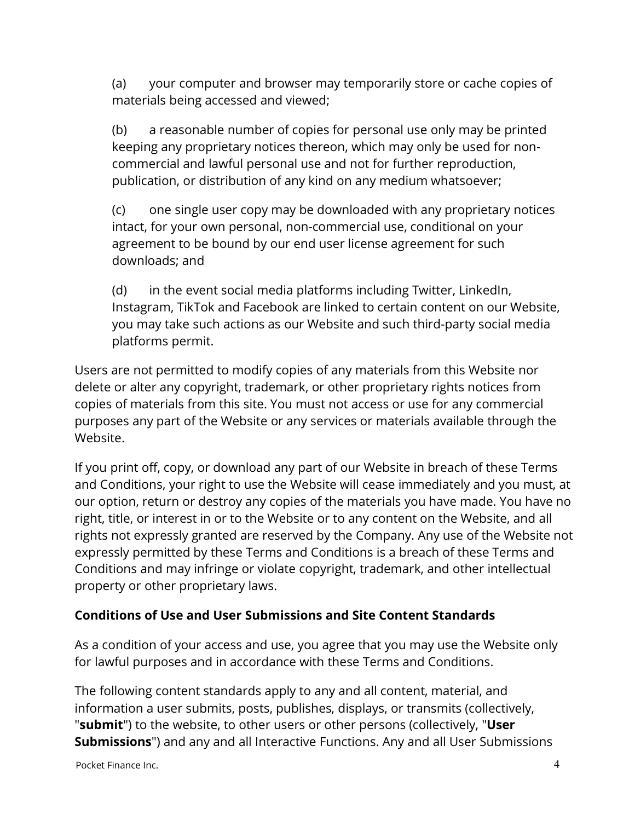(a) your computer and browser may temporarily store or cache copies of materials being accessed and viewed;

(b) a reasonable number of copies for personal use only may be printed keeping any proprietary notices thereon, which may only be used for noncommercial and lawful personal use and not for further reproduction, publication, or distribution of any kind on any medium whatsoever;

(c) one single user copy may be downloaded with any proprietary notices intact, for your own personal, non-commercial use, conditional on your agreement to be bound by our end user license agreement for such downloads; and

(d) in the event social media platforms including Twitter, LinkedIn, Instagram, TikTok and Facebook are linked to certain content on our Website, you may take such actions as our Website and such third-party social media platforms permit.

Users are not permitted to modify copies of any materials from this Website nor delete or alter any copyright, trademark, or other proprietary rights notices from copies of materials from this site. You must not access or use for any commercial purposes any part of the Website or any services or materials available through the Website.

If you print off, copy, or download any part of our Website in breach of these Terms and Conditions, your right to use the Website will cease immediately and you must, at our option, return or destroy any copies of the materials you have made. You have no right, title, or interest in or to the Website or to any content on the Website, and all rights not expressly granted are reserved by the Company. Any use of the Website not expressly permitted by these Terms and Conditions is a breach of these Terms and Conditions and may infringe or violate copyright, trademark, and other intellectual property or other proprietary laws.

# **Conditions of Use and User Submissions and Site Content Standards**

As a condition of your access and use, you agree that you may use the Website only for lawful purposes and in accordance with these Terms and Conditions.

The following content standards apply to any and all content, material, and information a user submits, posts, publishes, displays, or transmits (collectively, "**submit**") to the website, to other users or other persons (collectively, "**User Submissions**") and any and all Interactive Functions. Any and all User Submissions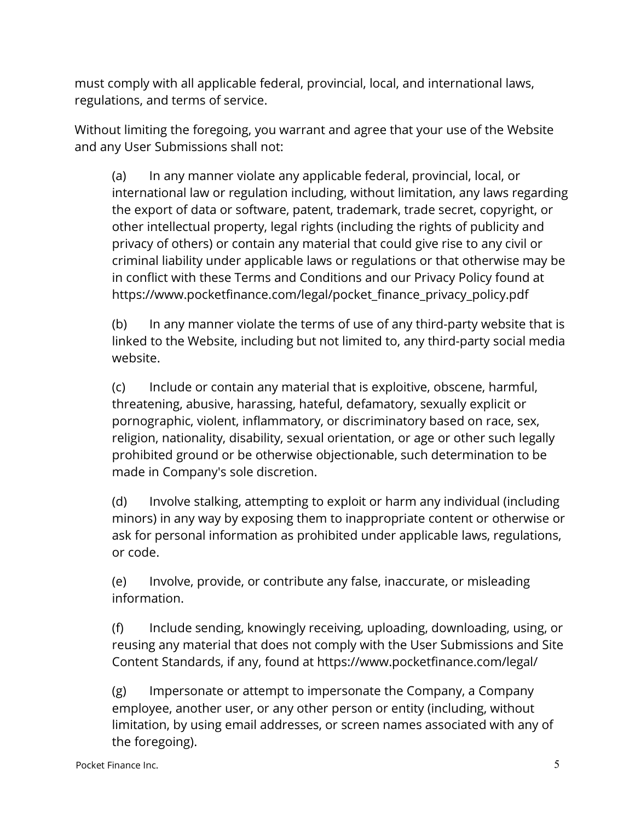must comply with all applicable federal, provincial, local, and international laws, regulations, and terms of service.

Without limiting the foregoing, you warrant and agree that your use of the Website and any User Submissions shall not:

(a) In any manner violate any applicable federal, provincial, local, or international law or regulation including, without limitation, any laws regarding the export of data or software, patent, trademark, trade secret, copyright, or other intellectual property, legal rights (including the rights of publicity and privacy of others) or contain any material that could give rise to any civil or criminal liability under applicable laws or regulations or that otherwise may be in conflict with these Terms and Conditions and our Privacy Policy found at https://www.pocketfinance.com/legal/pocket\_finance\_privacy\_policy.pdf

(b) In any manner violate the terms of use of any third-party website that is linked to the Website, including but not limited to, any third-party social media website.

(c) Include or contain any material that is exploitive, obscene, harmful, threatening, abusive, harassing, hateful, defamatory, sexually explicit or pornographic, violent, inflammatory, or discriminatory based on race, sex, religion, nationality, disability, sexual orientation, or age or other such legally prohibited ground or be otherwise objectionable, such determination to be made in Company's sole discretion.

(d) Involve stalking, attempting to exploit or harm any individual (including minors) in any way by exposing them to inappropriate content or otherwise or ask for personal information as prohibited under applicable laws, regulations, or code.

(e) Involve, provide, or contribute any false, inaccurate, or misleading information.

(f) Include sending, knowingly receiving, uploading, downloading, using, or reusing any material that does not comply with the User Submissions and Site Content Standards, if any, found at https://www.pocketfinance.com/legal/

(g) Impersonate or attempt to impersonate the Company, a Company employee, another user, or any other person or entity (including, without limitation, by using email addresses, or screen names associated with any of the foregoing).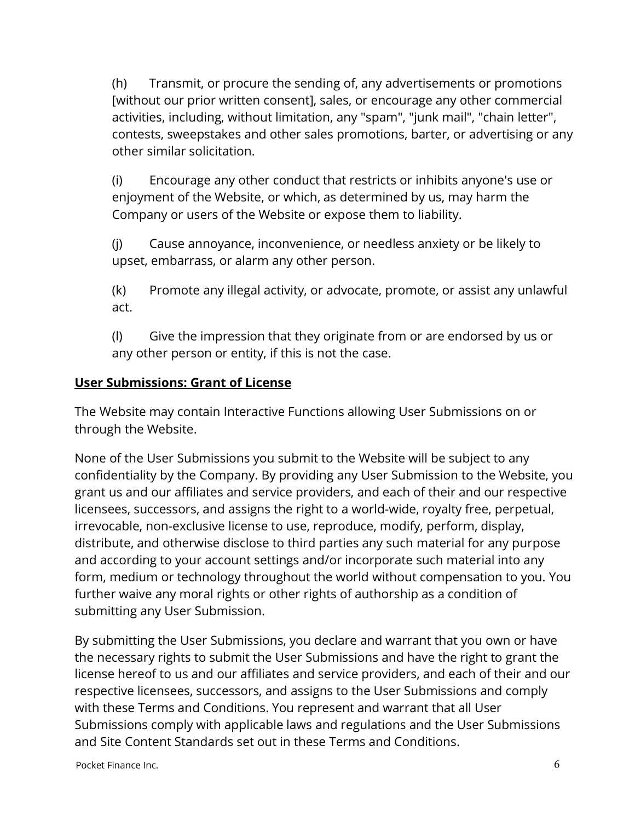(h) Transmit, or procure the sending of, any advertisements or promotions [without our prior written consent], sales, or encourage any other commercial activities, including, without limitation, any "spam", "junk mail", "chain letter", contests, sweepstakes and other sales promotions, barter, or advertising or any other similar solicitation.

(i) Encourage any other conduct that restricts or inhibits anyone's use or enjoyment of the Website, or which, as determined by us, may harm the Company or users of the Website or expose them to liability.

(j) Cause annoyance, inconvenience, or needless anxiety or be likely to upset, embarrass, or alarm any other person.

(k) Promote any illegal activity, or advocate, promote, or assist any unlawful act.

(l) Give the impression that they originate from or are endorsed by us or any other person or entity, if this is not the case.

## **User Submissions: Grant of License**

The Website may contain Interactive Functions allowing User Submissions on or through the Website.

None of the User Submissions you submit to the Website will be subject to any confidentiality by the Company. By providing any User Submission to the Website, you grant us and our affiliates and service providers, and each of their and our respective licensees, successors, and assigns the right to a world-wide, royalty free, perpetual, irrevocable, non-exclusive license to use, reproduce, modify, perform, display, distribute, and otherwise disclose to third parties any such material for any purpose and according to your account settings and/or incorporate such material into any form, medium or technology throughout the world without compensation to you. You further waive any moral rights or other rights of authorship as a condition of submitting any User Submission.

By submitting the User Submissions, you declare and warrant that you own or have the necessary rights to submit the User Submissions and have the right to grant the license hereof to us and our affiliates and service providers, and each of their and our respective licensees, successors, and assigns to the User Submissions and comply with these Terms and Conditions. You represent and warrant that all User Submissions comply with applicable laws and regulations and the User Submissions and Site Content Standards set out in these Terms and Conditions.

Pocket Finance Inc.  $\qquad \qquad 6$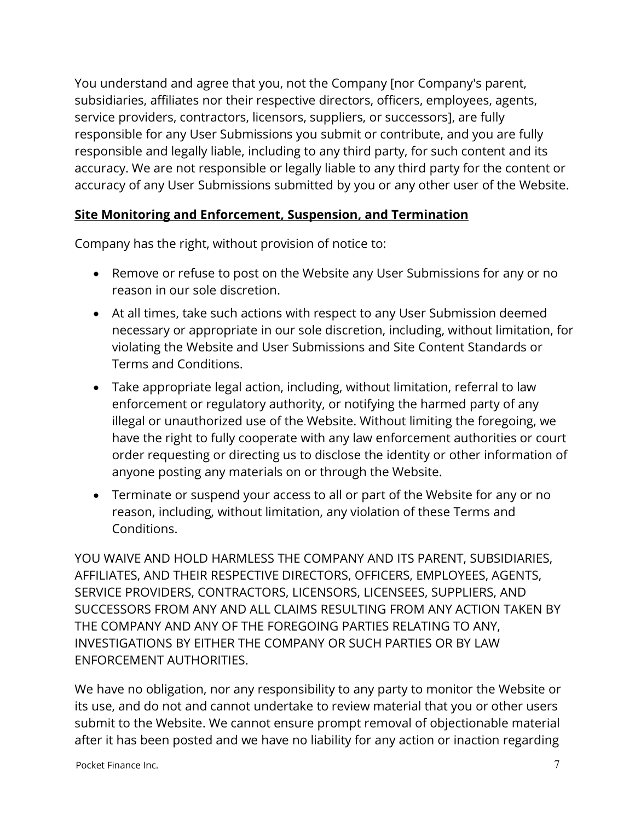You understand and agree that you, not the Company [nor Company's parent, subsidiaries, affiliates nor their respective directors, officers, employees, agents, service providers, contractors, licensors, suppliers, or successors], are fully responsible for any User Submissions you submit or contribute, and you are fully responsible and legally liable, including to any third party, for such content and its accuracy. We are not responsible or legally liable to any third party for the content or accuracy of any User Submissions submitted by you or any other user of the Website.

### **Site Monitoring and Enforcement, Suspension, and Termination**

Company has the right, without provision of notice to:

- Remove or refuse to post on the Website any User Submissions for any or no reason in our sole discretion.
- At all times, take such actions with respect to any User Submission deemed necessary or appropriate in our sole discretion, including, without limitation, for violating the Website and User Submissions and Site Content Standards or Terms and Conditions.
- Take appropriate legal action, including, without limitation, referral to law enforcement or regulatory authority, or notifying the harmed party of any illegal or unauthorized use of the Website. Without limiting the foregoing, we have the right to fully cooperate with any law enforcement authorities or court order requesting or directing us to disclose the identity or other information of anyone posting any materials on or through the Website.
- Terminate or suspend your access to all or part of the Website for any or no reason, including, without limitation, any violation of these Terms and Conditions.

YOU WAIVE AND HOLD HARMLESS THE COMPANY AND ITS PARENT, SUBSIDIARIES, AFFILIATES, AND THEIR RESPECTIVE DIRECTORS, OFFICERS, EMPLOYEES, AGENTS, SERVICE PROVIDERS, CONTRACTORS, LICENSORS, LICENSEES, SUPPLIERS, AND SUCCESSORS FROM ANY AND ALL CLAIMS RESULTING FROM ANY ACTION TAKEN BY THE COMPANY AND ANY OF THE FOREGOING PARTIES RELATING TO ANY, INVESTIGATIONS BY EITHER THE COMPANY OR SUCH PARTIES OR BY LAW ENFORCEMENT AUTHORITIES.

We have no obligation, nor any responsibility to any party to monitor the Website or its use, and do not and cannot undertake to review material that you or other users submit to the Website. We cannot ensure prompt removal of objectionable material after it has been posted and we have no liability for any action or inaction regarding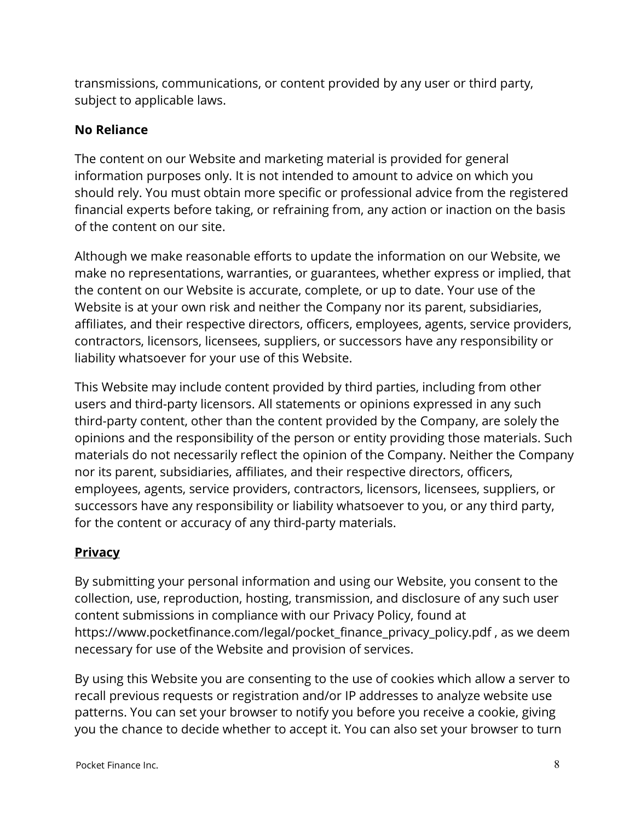transmissions, communications, or content provided by any user or third party, subject to applicable laws.

### **No Reliance**

The content on our Website and marketing material is provided for general information purposes only. It is not intended to amount to advice on which you should rely. You must obtain more specific or professional advice from the registered financial experts before taking, or refraining from, any action or inaction on the basis of the content on our site.

Although we make reasonable efforts to update the information on our Website, we make no representations, warranties, or guarantees, whether express or implied, that the content on our Website is accurate, complete, or up to date. Your use of the Website is at your own risk and neither the Company nor its parent, subsidiaries, affiliates, and their respective directors, officers, employees, agents, service providers, contractors, licensors, licensees, suppliers, or successors have any responsibility or liability whatsoever for your use of this Website.

This Website may include content provided by third parties, including from other users and third-party licensors. All statements or opinions expressed in any such third-party content, other than the content provided by the Company, are solely the opinions and the responsibility of the person or entity providing those materials. Such materials do not necessarily reflect the opinion of the Company. Neither the Company nor its parent, subsidiaries, affiliates, and their respective directors, officers, employees, agents, service providers, contractors, licensors, licensees, suppliers, or successors have any responsibility or liability whatsoever to you, or any third party, for the content or accuracy of any third-party materials.

# **Privacy**

By submitting your personal information and using our Website, you consent to the collection, use, reproduction, hosting, transmission, and disclosure of any such user content submissions in compliance with our Privacy Policy, found at [https://www.pocketfinance.com/legal/pocket\\_finance\\_privacy\\_policy.pdf](https://www.pocketfinance.com/legal/pocket_finance_privacy_policy.pdf) , as we deem necessary for use of the Website and provision of services.

By using this Website you are consenting to the use of cookies which allow a server to recall previous requests or registration and/or IP addresses to analyze website use patterns. You can set your browser to notify you before you receive a cookie, giving you the chance to decide whether to accept it. You can also set your browser to turn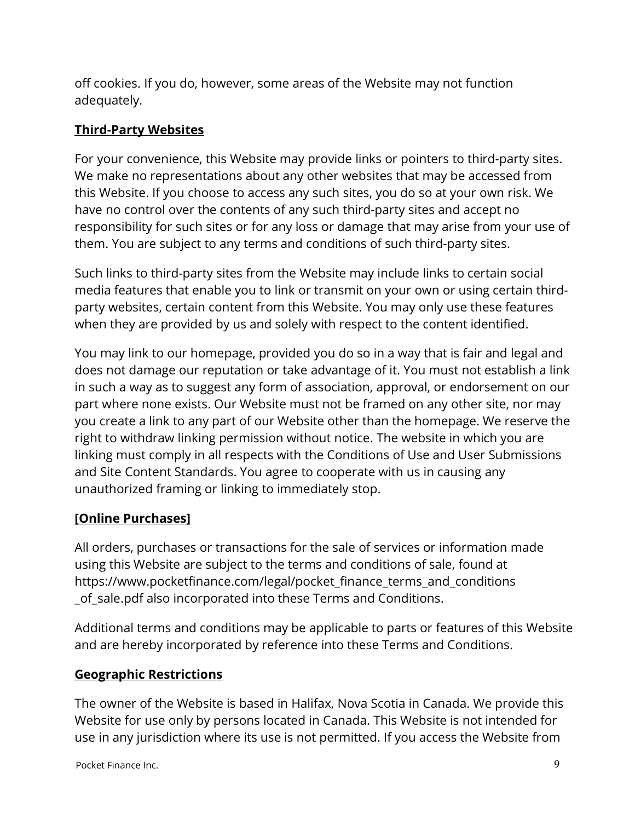off cookies. If you do, however, some areas of the Website may not function adequately.

## **Third-Party Websites**

For your convenience, this Website may provide links or pointers to third-party sites. We make no representations about any other websites that may be accessed from this Website. If you choose to access any such sites, you do so at your own risk. We have no control over the contents of any such third-party sites and accept no responsibility for such sites or for any loss or damage that may arise from your use of them. You are subject to any terms and conditions of such third-party sites.

Such links to third-party sites from the Website may include links to certain social media features that enable you to link or transmit on your own or using certain thirdparty websites, certain content from this Website. You may only use these features when they are provided by us and solely with respect to the content identified.

You may link to our homepage, provided you do so in a way that is fair and legal and does not damage our reputation or take advantage of it. You must not establish a link in such a way as to suggest any form of association, approval, or endorsement on our part where none exists. Our Website must not be framed on any other site, nor may you create a link to any part of our Website other than the homepage. We reserve the right to withdraw linking permission without notice. The website in which you are linking must comply in all respects with the Conditions of Use and User Submissions and Site Content Standards. You agree to cooperate with us in causing any unauthorized framing or linking to immediately stop.

# **[Online Purchases]**

All orders, purchases or transactions for the sale of services or information made using this Website are subject to the terms and conditions of sale, found at https://www.pocketfinance.com/legal/pocket finance terms and conditions of sale.pdf also incorporated into these Terms and Conditions.

Additional terms and conditions may be applicable to parts or features of this Website and are hereby incorporated by reference into these Terms and Conditions.

### **Geographic Restrictions**

The owner of the Website is based in Halifax, Nova Scotia in Canada. We provide this Website for use only by persons located in Canada. This Website is not intended for use in any jurisdiction where its use is not permitted. If you access the Website from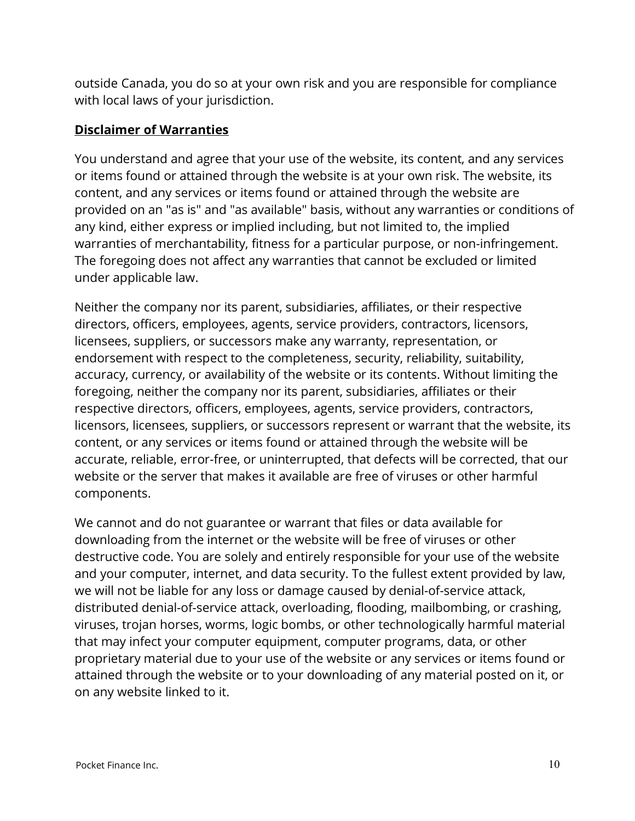outside Canada, you do so at your own risk and you are responsible for compliance with local laws of your jurisdiction.

### **Disclaimer of Warranties**

You understand and agree that your use of the website, its content, and any services or items found or attained through the website is at your own risk. The website, its content, and any services or items found or attained through the website are provided on an "as is" and "as available" basis, without any warranties or conditions of any kind, either express or implied including, but not limited to, the implied warranties of merchantability, fitness for a particular purpose, or non-infringement. The foregoing does not affect any warranties that cannot be excluded or limited under applicable law.

Neither the company nor its parent, subsidiaries, affiliates, or their respective directors, officers, employees, agents, service providers, contractors, licensors, licensees, suppliers, or successors make any warranty, representation, or endorsement with respect to the completeness, security, reliability, suitability, accuracy, currency, or availability of the website or its contents. Without limiting the foregoing, neither the company nor its parent, subsidiaries, affiliates or their respective directors, officers, employees, agents, service providers, contractors, licensors, licensees, suppliers, or successors represent or warrant that the website, its content, or any services or items found or attained through the website will be accurate, reliable, error-free, or uninterrupted, that defects will be corrected, that our website or the server that makes it available are free of viruses or other harmful components.

We cannot and do not guarantee or warrant that files or data available for downloading from the internet or the website will be free of viruses or other destructive code. You are solely and entirely responsible for your use of the website and your computer, internet, and data security. To the fullest extent provided by law, we will not be liable for any loss or damage caused by denial-of-service attack, distributed denial-of-service attack, overloading, flooding, mailbombing, or crashing, viruses, trojan horses, worms, logic bombs, or other technologically harmful material that may infect your computer equipment, computer programs, data, or other proprietary material due to your use of the website or any services or items found or attained through the website or to your downloading of any material posted on it, or on any website linked to it.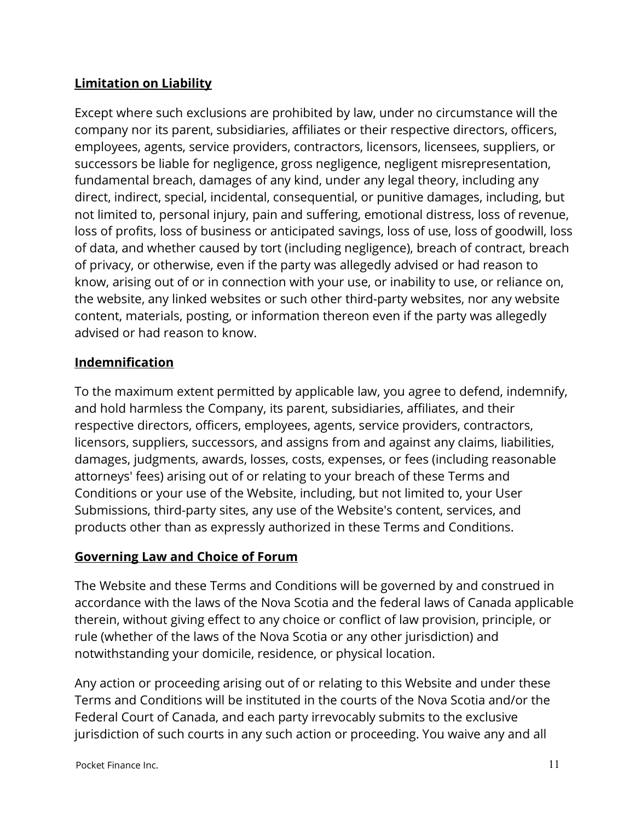# **Limitation on Liability**

Except where such exclusions are prohibited by law, under no circumstance will the company nor its parent, subsidiaries, affiliates or their respective directors, officers, employees, agents, service providers, contractors, licensors, licensees, suppliers, or successors be liable for negligence, gross negligence, negligent misrepresentation, fundamental breach, damages of any kind, under any legal theory, including any direct, indirect, special, incidental, consequential, or punitive damages, including, but not limited to, personal injury, pain and suffering, emotional distress, loss of revenue, loss of profits, loss of business or anticipated savings, loss of use, loss of goodwill, loss of data, and whether caused by tort (including negligence), breach of contract, breach of privacy, or otherwise, even if the party was allegedly advised or had reason to know, arising out of or in connection with your use, or inability to use, or reliance on, the website, any linked websites or such other third-party websites, nor any website content, materials, posting, or information thereon even if the party was allegedly advised or had reason to know.

### **Indemnification**

To the maximum extent permitted by applicable law, you agree to defend, indemnify, and hold harmless the Company, its parent, subsidiaries, affiliates, and their respective directors, officers, employees, agents, service providers, contractors, licensors, suppliers, successors, and assigns from and against any claims, liabilities, damages, judgments, awards, losses, costs, expenses, or fees (including reasonable attorneys' fees) arising out of or relating to your breach of these Terms and Conditions or your use of the Website, including, but not limited to, your User Submissions, third-party sites, any use of the Website's content, services, and products other than as expressly authorized in these Terms and Conditions.

### **Governing Law and Choice of Forum**

The Website and these Terms and Conditions will be governed by and construed in accordance with the laws of the Nova Scotia and the federal laws of Canada applicable therein, without giving effect to any choice or conflict of law provision, principle, or rule (whether of the laws of the Nova Scotia or any other jurisdiction) and notwithstanding your domicile, residence, or physical location.

Any action or proceeding arising out of or relating to this Website and under these Terms and Conditions will be instituted in the courts of the Nova Scotia and/or the Federal Court of Canada, and each party irrevocably submits to the exclusive jurisdiction of such courts in any such action or proceeding. You waive any and all